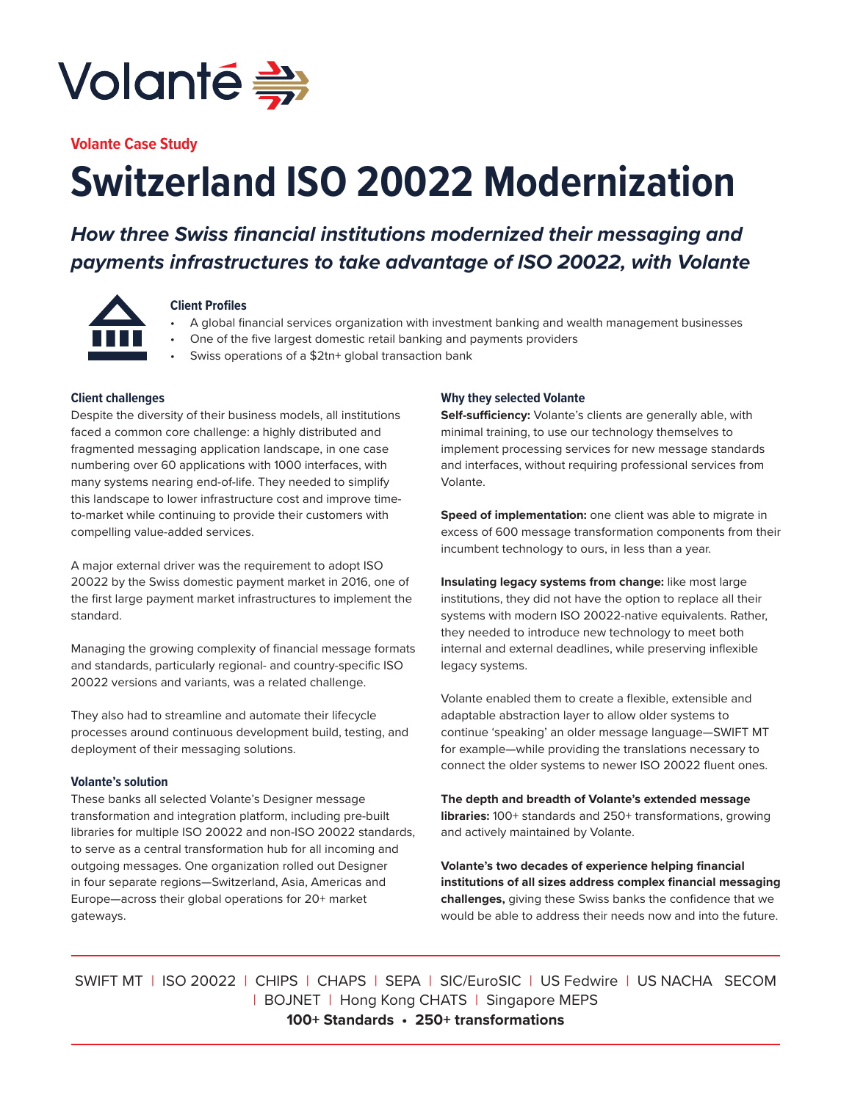

**Volante Case Study**

# **Switzerland ISO 20022 Modernization**

# *How three Swiss financial institutions modernized their messaging and payments infrastructures to take advantage of ISO 20022, with Volante*



#### **Client Profiles**

- A global financial services organization with investment banking and wealth management businesses
- One of the five largest domestic retail banking and payments providers
- Swiss operations of a \$2tn+ global transaction bank

# **Client challenges**

Despite the diversity of their business models, all institutions faced a common core challenge: a highly distributed and fragmented messaging application landscape, in one case numbering over 60 applications with 1000 interfaces, with many systems nearing end-of-life. They needed to simplify this landscape to lower infrastructure cost and improve timeto-market while continuing to provide their customers with compelling value-added services.

A major external driver was the requirement to adopt ISO 20022 by the Swiss domestic payment market in 2016, one of the first large payment market infrastructures to implement the standard.

Managing the growing complexity of financial message formats and standards, particularly regional- and country-specific ISO 20022 versions and variants, was a related challenge.

They also had to streamline and automate their lifecycle processes around continuous development build, testing, and deployment of their messaging solutions.

#### **Volante's solution**

These banks all selected Volante's Designer message transformation and integration platform, including pre-built libraries for multiple ISO 20022 and non-ISO 20022 standards, to serve as a central transformation hub for all incoming and outgoing messages. One organization rolled out Designer in four separate regions—Switzerland, Asia, Americas and Europe—across their global operations for 20+ market gateways.

# **Why they selected Volante**

**Self-sufficiency:** Volante's clients are generally able, with minimal training, to use our technology themselves to implement processing services for new message standards and interfaces, without requiring professional services from Volante.

**Speed of implementation:** one client was able to migrate in excess of 600 message transformation components from their incumbent technology to ours, in less than a year.

**Insulating legacy systems from change:** like most large institutions, they did not have the option to replace all their systems with modern ISO 20022-native equivalents. Rather, they needed to introduce new technology to meet both internal and external deadlines, while preserving inflexible legacy systems.

Volante enabled them to create a flexible, extensible and adaptable abstraction layer to allow older systems to continue 'speaking' an older message language—SWIFT MT for example—while providing the translations necessary to connect the older systems to newer ISO 20022 fluent ones.

**The depth and breadth of Volante's extended message libraries:** 100+ standards and 250+ transformations, growing and actively maintained by Volante.

**Volante's two decades of experience helping financial institutions of all sizes address complex financial messaging challenges,** giving these Swiss banks the confidence that we would be able to address their needs now and into the future.

SWIFT MT | ISO 20022 | CHIPS | CHAPS | SEPA | SIC/EuroSIC | US Fedwire | US NACHA SECOM | BOJNET | Hong Kong CHATS | Singapore MEPS **100+ Standards • 250+ transformations**